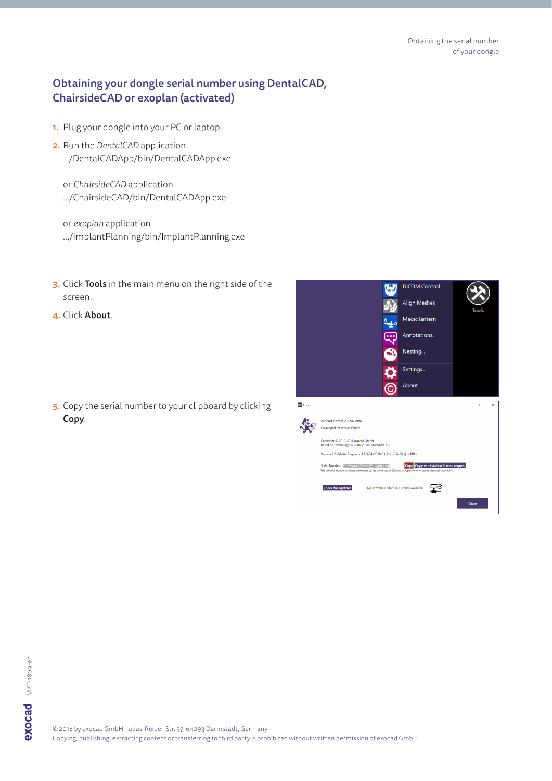## Obtaining your dongle serial number using DentalCAD, ChairsideCAD or exoplan (activated)

- 1. Plug your dongle into your PC or laptop.
- 2. Run the *DentalCAD* application ../DentalCADApp/bin/DentalCADApp.exe

or *ChairsideCAD* application .../ChairsideCAD/bin/DentalCADApp.exe

or *exoplan* application .../ImplantPlanning/bin/ImplantPlanning.exe

- 3. Click Tools in the main menu on the right side of the screen.
- 4. Click About.

5. Copy the serial number to your clipboard by clicking Copy.